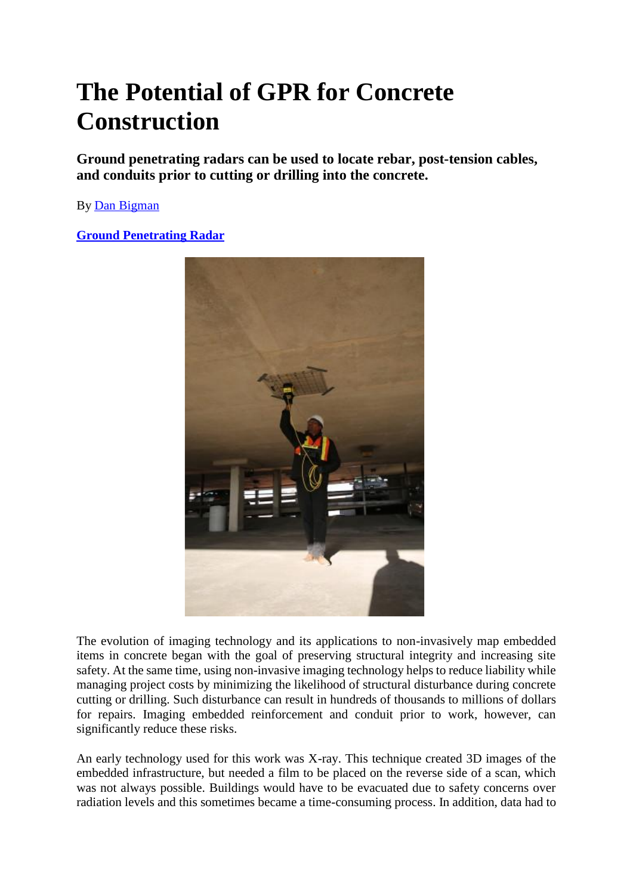# **The Potential of GPR for Concrete Construction**

**Ground penetrating radars can be used to locate rebar, post-tension cables, and conduits prior to cutting or drilling into the concrete.**

By Dan Bigman

**Ground Penetrating Radar**



The evolution of imaging technology and its applications to non-invasively map embedded items in concrete began with the goal of preserving structural integrity and increasing site safety. At the same time, using non-invasive imaging technology helps to reduce liability while managing project costs by minimizing the likelihood of structural disturbance during concrete cutting or drilling. Such disturbance can result in hundreds of thousands to millions of dollars for repairs. Imaging embedded reinforcement and conduit prior to work, however, can significantly reduce these risks.

An early technology used for this work was X-ray. This technique created 3D images of the embedded infrastructure, but needed a film to be placed on the reverse side of a scan, which was not always possible. Buildings would have to be evacuated due to safety concerns over radiation levels and this sometimes became a time-consuming process. In addition, data had to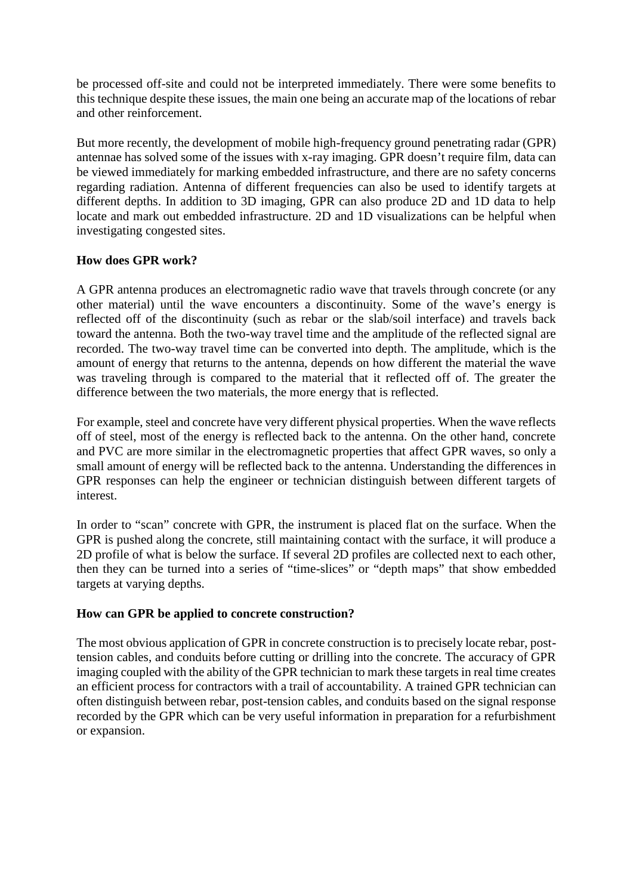be processed off-site and could not be interpreted immediately. There were some benefits to this technique despite these issues, the main one being an accurate map of the locations of rebar and other reinforcement.

But more recently, the development of mobile high-frequency ground penetrating radar (GPR) antennae has solved some of the issues with x-ray imaging. GPR doesn't require film, data can be viewed immediately for marking embedded infrastructure, and there are no safety concerns regarding radiation. Antenna of different frequencies can also be used to identify targets at different depths. In addition to 3D imaging, GPR can also produce 2D and 1D data to help locate and mark out embedded infrastructure. 2D and 1D visualizations can be helpful when investigating congested sites.

# **How does GPR work?**

A GPR antenna produces an electromagnetic radio wave that travels through concrete (or any other material) until the wave encounters a discontinuity. Some of the wave's energy is reflected off of the discontinuity (such as rebar or the slab/soil interface) and travels back toward the antenna. Both the two-way travel time and the amplitude of the reflected signal are recorded. The two-way travel time can be converted into depth. The amplitude, which is the amount of energy that returns to the antenna, depends on how different the material the wave was traveling through is compared to the material that it reflected off of. The greater the difference between the two materials, the more energy that is reflected.

For example, steel and concrete have very different physical properties. When the wave reflects off of steel, most of the energy is reflected back to the antenna. On the other hand, concrete and PVC are more similar in the electromagnetic properties that affect GPR waves, so only a small amount of energy will be reflected back to the antenna. Understanding the differences in GPR responses can help the engineer or technician distinguish between different targets of interest.

In order to "scan" concrete with GPR, the instrument is placed flat on the surface. When the GPR is pushed along the concrete, still maintaining contact with the surface, it will produce a 2D profile of what is below the surface. If several 2D profiles are collected next to each other, then they can be turned into a series of "time-slices" or "depth maps" that show embedded targets at varying depths.

# **How can GPR be applied to concrete construction?**

The most obvious application of GPR in concrete construction is to precisely locate rebar, posttension cables, and conduits before cutting or drilling into the concrete. The accuracy of GPR imaging coupled with the ability of the GPR technician to mark these targets in real time creates an efficient process for contractors with a trail of accountability. A trained GPR technician can often distinguish between rebar, post-tension cables, and conduits based on the signal response recorded by the GPR which can be very useful information in preparation for a refurbishment or expansion.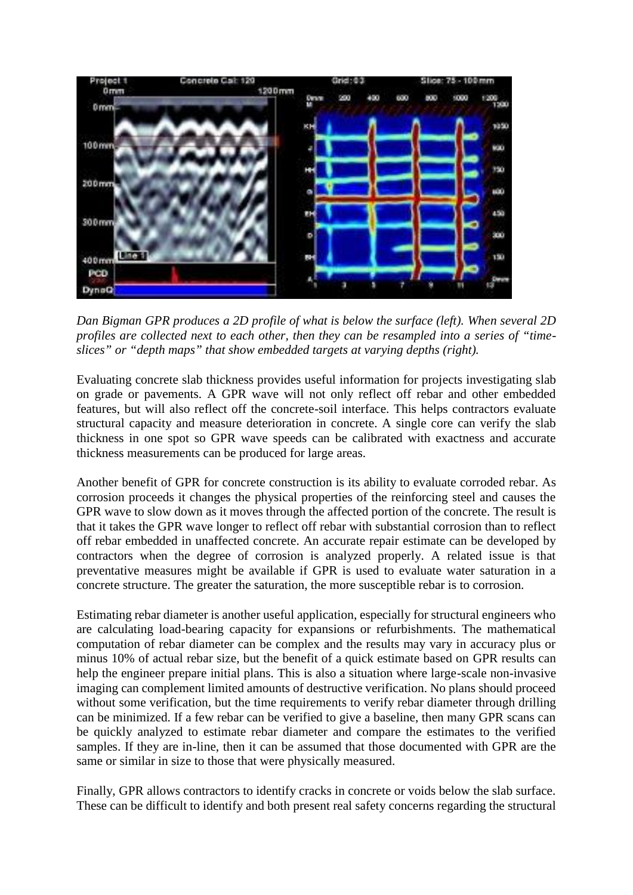

*Dan Bigman GPR produces a 2D profile of what is below the surface (left). When several 2D profiles are collected next to each other, then they can be resampled into a series of "time slices" or "depth maps" that show embedded targets at varying depths (right).*

Evaluating concrete slab thickness provides useful information for projects investigating slab on grade or pavements. A GPR wave will not only reflect off rebar and other embedded features, but will also reflect off the concrete-soil interface. This helps contractors evaluate structural capacity and measure deterioration in concrete. A single core can verify the slab thickness in one spot so GPR wave speeds can be calibrated with exactness and accurate thickness measurements can be produced for large areas.

Another benefit of GPR for concrete construction is its ability to evaluate corroded rebar. As corrosion proceeds it changes the physical properties of the reinforcing steel and causes the GPR wave to slow down as it moves through the affected portion of the concrete. The result is that it takes the GPR wave longer to reflect off rebar with substantial corrosion than to reflect off rebar embedded in unaffected concrete. An accurate repair estimate can be developed by contractors when the degree of corrosion is analyzed properly. A related issue is that preventative measures might be available if GPR is used to evaluate water saturation in a concrete structure. The greater the saturation, the more susceptible rebar is to corrosion.

Estimating rebar diameter is another useful application, especially for structural engineers who are calculating load-bearing capacity for expansions or refurbishments. The mathematical computation of rebar diameter can be complex and the results may vary in accuracy plus or minus 10% of actual rebar size, but the benefit of a quick estimate based on GPR results can help the engineer prepare initial plans. This is also a situation where large-scale non-invasive imaging can complement limited amounts of destructive verification. No plans should proceed without some verification, but the time requirements to verify rebar diameter through drilling can be minimized. If a few rebar can be verified to give a baseline, then many GPR scans can be quickly analyzed to estimate rebar diameter and compare the estimates to the verified samples. If they are in-line, then it can be assumed that those documented with GPR are the same or similar in size to those that were physically measured.

Finally, GPR allows contractors to identify cracks in concrete or voids below the slab surface. These can be difficult to identify and both present real safety concerns regarding the structural